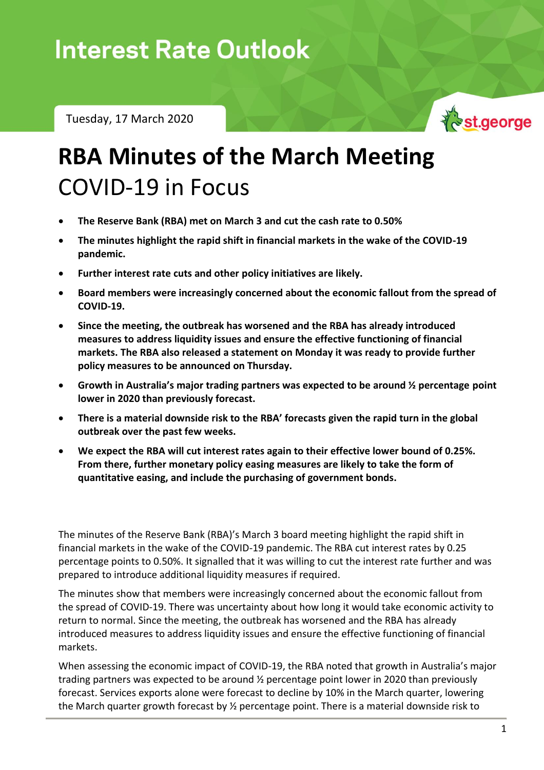Tuesday, 17 March 2020



## **RBA Minutes of the March Meeting** COVID-19 in Focus

- **The Reserve Bank (RBA) met on March 3 and cut the cash rate to 0.50%**
- **The minutes highlight the rapid shift in financial markets in the wake of the COVID-19 pandemic.**
- **Further interest rate cuts and other policy initiatives are likely.**
- **Board members were increasingly concerned about the economic fallout from the spread of COVID-19.**
- **Since the meeting, the outbreak has worsened and the RBA has already introduced measures to address liquidity issues and ensure the effective functioning of financial markets. The RBA also released a statement on Monday it was ready to provide further policy measures to be announced on Thursday.**
- **Growth in Australia's major trading partners was expected to be around ½ percentage point lower in 2020 than previously forecast.**
- **There is a material downside risk to the RBA' forecasts given the rapid turn in the global outbreak over the past few weeks.**
- **We expect the RBA will cut interest rates again to their effective lower bound of 0.25%. From there, further monetary policy easing measures are likely to take the form of quantitative easing, and include the purchasing of government bonds.**

The minutes of the Reserve Bank (RBA)'s March 3 board meeting highlight the rapid shift in financial markets in the wake of the COVID-19 pandemic. The RBA cut interest rates by 0.25 percentage points to 0.50%. It signalled that it was willing to cut the interest rate further and was prepared to introduce additional liquidity measures if required.

The minutes show that members were increasingly concerned about the economic fallout from the spread of COVID-19. There was uncertainty about how long it would take economic activity to return to normal. Since the meeting, the outbreak has worsened and the RBA has already introduced measures to address liquidity issues and ensure the effective functioning of financial markets.

When assessing the economic impact of COVID-19, the RBA noted that growth in Australia's major trading partners was expected to be around ½ percentage point lower in 2020 than previously forecast. Services exports alone were forecast to decline by 10% in the March quarter, lowering the March quarter growth forecast by ½ percentage point. There is a material downside risk to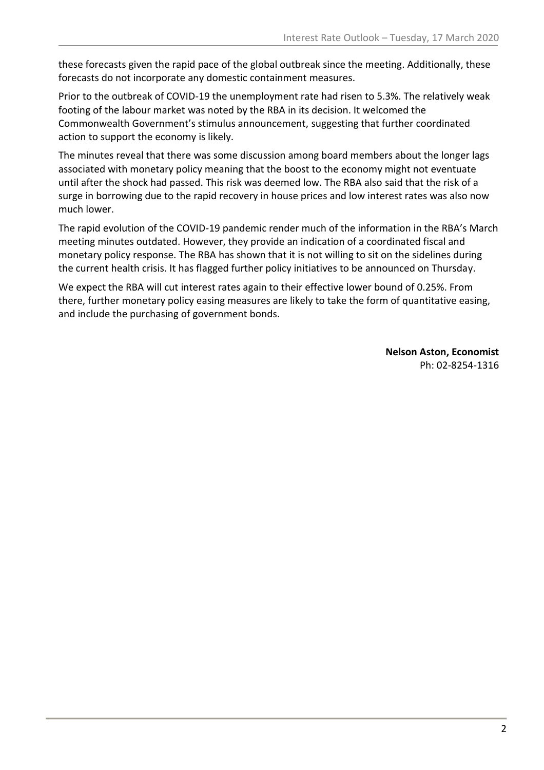these forecasts given the rapid pace of the global outbreak since the meeting. Additionally, these forecasts do not incorporate any domestic containment measures.

Prior to the outbreak of COVID-19 the unemployment rate had risen to 5.3%. The relatively weak footing of the labour market was noted by the RBA in its decision. It welcomed the Commonwealth Government's stimulus announcement, suggesting that further coordinated action to support the economy is likely.

The minutes reveal that there was some discussion among board members about the longer lags associated with monetary policy meaning that the boost to the economy might not eventuate until after the shock had passed. This risk was deemed low. The RBA also said that the risk of a surge in borrowing due to the rapid recovery in house prices and low interest rates was also now much lower.

The rapid evolution of the COVID-19 pandemic render much of the information in the RBA's March meeting minutes outdated. However, they provide an indication of a coordinated fiscal and monetary policy response. The RBA has shown that it is not willing to sit on the sidelines during the current health crisis. It has flagged further policy initiatives to be announced on Thursday.

We expect the RBA will cut interest rates again to their effective lower bound of 0.25%. From there, further monetary policy easing measures are likely to take the form of quantitative easing, and include the purchasing of government bonds.

> **Nelson Aston, Economist** Ph: 02-8254-1316